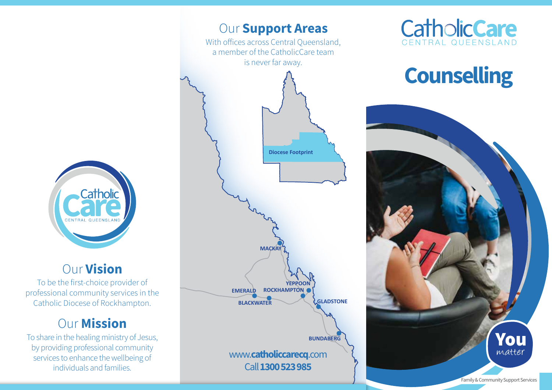

### Our Vision

To be the first-choice provider of professional community services in the Catholic Diocese of Rockhampton.

# **Our Mission**

To share in the healing ministry of Jesus, by providing professional community services to enhance the wellbeing of individuals and families.





# **Counselling**